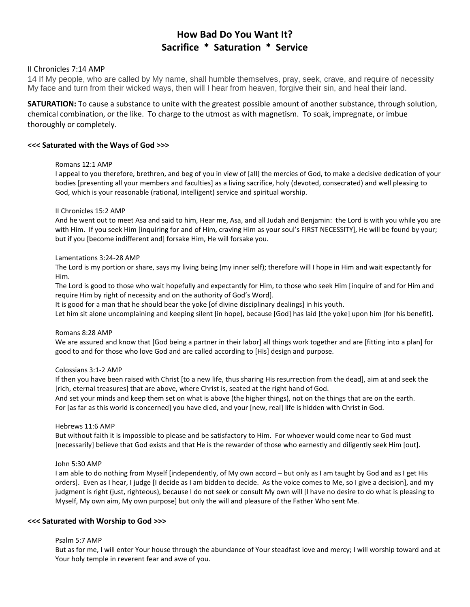# **How Bad Do You Want It? Sacrifice \* Saturation \* Service**

# II Chronicles 7:14 AMP

14 If My people, who are called by My name, shall humble themselves, pray, seek, crave, and require of necessity My face and turn from their wicked ways, then will I hear from heaven, forgive their sin, and heal their land.

**SATURATION:** To cause a substance to unite with the greatest possible amount of another substance, through solution, chemical combination, or the like. To charge to the utmost as with magnetism. To soak, impregnate, or imbue thoroughly or completely.

# **<<< Saturated with the Ways of God >>>**

# Romans 12:1 AMP

I appeal to you therefore, brethren, and beg of you in view of [all] the mercies of God, to make a decisive dedication of your bodies [presenting all your members and faculties] as a living sacrifice, holy (devoted, consecrated) and well pleasing to God, which is your reasonable (rational, intelligent) service and spiritual worship.

## II Chronicles 15:2 AMP

And he went out to meet Asa and said to him, Hear me, Asa, and all Judah and Benjamin: the Lord is with you while you are with Him. If you seek Him [inquiring for and of Him, craving Him as your soul's FIRST NECESSITY], He will be found by your; but if you [become indifferent and] forsake Him, He will forsake you.

## Lamentations 3:24-28 AMP

The Lord is my portion or share, says my living being (my inner self); therefore will I hope in Him and wait expectantly for Him.

The Lord is good to those who wait hopefully and expectantly for Him, to those who seek Him [inquire of and for Him and require Him by right of necessity and on the authority of God's Word].

It is good for a man that he should bear the yoke [of divine disciplinary dealings] in his youth.

Let him sit alone uncomplaining and keeping silent [in hope], because [God] has laid [the yoke] upon him [for his benefit].

## Romans 8:28 AMP

We are assured and know that [God being a partner in their labor] all things work together and are [fitting into a plan] for good to and for those who love God and are called according to [His] design and purpose.

#### Colossians 3:1-2 AMP

If then you have been raised with Christ [to a new life, thus sharing His resurrection from the dead], aim at and seek the [rich, eternal treasures] that are above, where Christ is, seated at the right hand of God.

And set your minds and keep them set on what is above (the higher things), not on the things that are on the earth. For [as far as this world is concerned] you have died, and your [new, real] life is hidden with Christ in God.

#### Hebrews 11:6 AMP

But without faith it is impossible to please and be satisfactory to Him. For whoever would come near to God must [necessarily] believe that God exists and that He is the rewarder of those who earnestly and diligently seek Him [out].

# John 5:30 AMP

I am able to do nothing from Myself [independently, of My own accord – but only as I am taught by God and as I get His orders]. Even as I hear, I judge [I decide as I am bidden to decide. As the voice comes to Me, so I give a decision], and my judgment is right (just, righteous), because I do not seek or consult My own will [I have no desire to do what is pleasing to Myself, My own aim, My own purpose] but only the will and pleasure of the Father Who sent Me.

# **<<< Saturated with Worship to God >>>**

# Psalm 5:7 AMP

But as for me, I will enter Your house through the abundance of Your steadfast love and mercy; I will worship toward and at Your holy temple in reverent fear and awe of you.